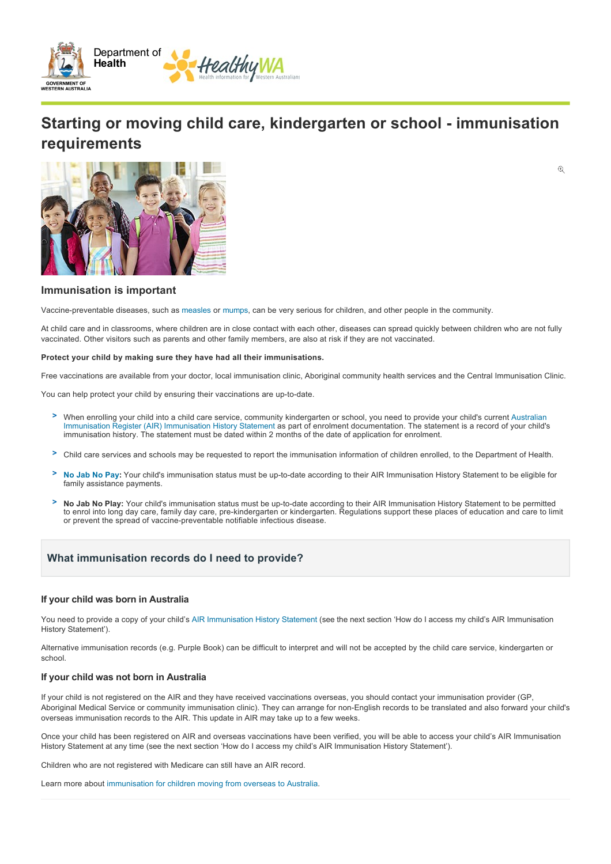

# **Starting or moving child care, kindergarten or school immunisation requirements**

 $\odot$ 



# **Immunisation is important**

Vaccine-preventable diseases, such as [measles](http://www.healthywa.wa.gov.au/Articles/J_M/Measles) or [mumps,](http://www.healthywa.wa.gov.au/Articles/J_M/Mumps) can be very serious for children, and other people in the community.

At child care and in classrooms, where children are in close contact with each other, diseases can spread quickly between children who are not fully vaccinated. Other visitors such as parents and other family members, are also at risk if they are not vaccinated.

#### **Protect your child by making sure they have had all their immunisations.**

Free vaccinations are available from your doctor, local immunisation clinic, Aboriginal community health services and the Central Immunisation Clinic.

You can help protect your child by ensuring their vaccinations are up-to-date.

- When enrolling your child into a child care service, community kindergarten or school, you need to provide your child's current Australian [Immunisation Register \(AIR\) Immunisation History Statement as part of enrolment documentation. The statement is a record of your child's](http://www.healthywa.wa.gov.au/Articles/A_E/Australian-Immunisation-Register) immunisation history. The statement must be dated within 2 months of the date of application for enrolment. **>**
- Child care services and schools may be requested to report the immunisation information of children enrolled, to the Department of Health. **>**
- [No Jab No Pay](http://www.healthywa.wa.gov.au/Articles/N_R/No-Jab-No-Pay-changes-to-childhood-immunisation-requirements): Your child's immunisation status must be up-to-date according to their AIR Immunisation History Statement to be eligible for family assistance payments. **>**
- No Jab No Play: Your child's immunisation status must be up-to-date according to their AIR Immunisation History Statement to be permitted to enrol into long day care, family day care, prekindergarten or kindergarten. Regulations support these places of education and care to limit or prevent the spread of vaccine-preventable notifiable infectious disease. **>**

## **What immunisation records do I need to provide?**

### **If your child was born in Australia**

You need to provide a copy of your child's [AIR Immunisation History Statement](http://www.healthywa.wa.gov.au/Articles/A_E/Australian-Immunisation-Register) (see the next section 'How do I access my child's AIR Immunisation History Statement').

Alternative immunisation records (e.g. Purple Book) can be difficult to interpret and will not be accepted by the child care service, kindergarten or school.

### **If your child was not born in Australia**

If your child is not registered on the AIR and they have received vaccinations overseas, you should contact your immunisation provider (GP, Aboriginal Medical Service or community immunisation clinic). They can arrange for non-English records to be translated and also forward your child's overseas immunisation records to the AIR. This update in AIR may take up to a few weeks.

Once your child has been registered on AIR and overseas vaccinations have been verified, you will be able to access your child's AIR Immunisation History Statement at any time (see the next section 'How do I access my child's AIR Immunisation History Statement').

Children who are not registered with Medicare can still have an AIR record.

Learn more about [immunisation for children moving from overseas to Australia.](http://www.healthywa.wa.gov.au/Articles/A_E/Children-moving-from-overseas)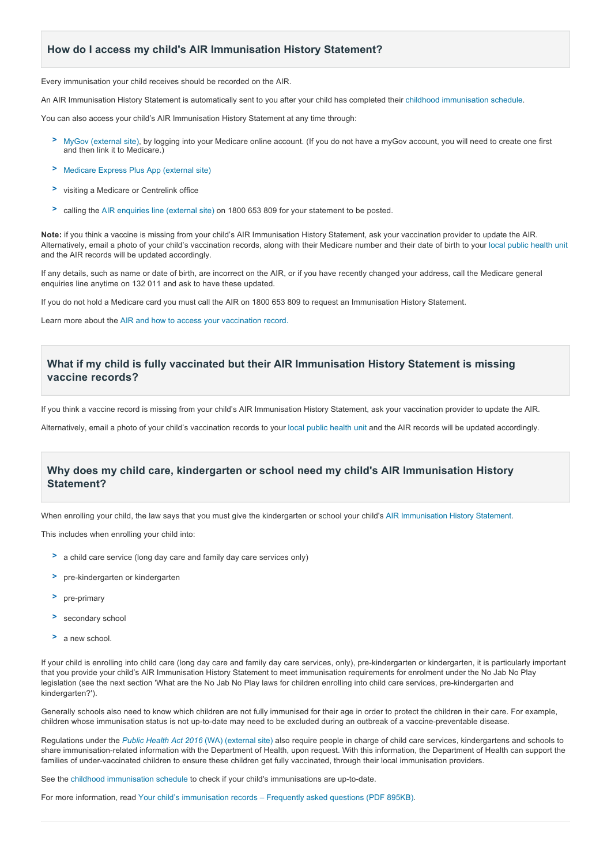# **How do I access my child's AIR Immunisation History Statement?**

Every immunisation your child receives should be recorded on the AIR.

An AIR Immunisation History Statement is automatically sent to you after your child has completed their [childhood immunisation schedule.](http://www.healthywa.wa.gov.au/Articles/A_E/Childhood-immunisation-schedule)

You can also access your child's AIR Immunisation History Statement at any time through:

- [MyGov \(external site\)](https://my.gov.au), by logging into your Medicare online account. (If you do not have a myGov account, you will need to create one first **>** and then link it to Medicare.)
- [Medicare Express Plus App \(external site\)](https://www.humanservices.gov.au/individuals/services/medicare/express-plus-medicare-mobile-app) **>**
- visiting a Medicare or Centrelink office **>**
- calling the [AIR enquiries line \(external site\)](https://www.humanservices.gov.au/individuals/services/medicare/australian-immunisation-register) on 1800 653 809 for your statement to be posted. **>**

**Note:** if you think a vaccine is missing from your child's AIR Immunisation History Statement, ask your vaccination provider to update the AIR. Alternatively, email a photo of your child's vaccination records, along with their Medicare number and their date of birth to your [local public health unit](http://www.healthywa.wa.gov.au/Articles/A_E/Contact-details-for-population-public-health-units) and the AIR records will be updated accordingly.

If any details, such as name or date of birth, are incorrect on the AIR, or if you have recently changed your address, call the Medicare general enquiries line anytime on 132 011 and ask to have these updated.

If you do not hold a Medicare card you must call the AIR on 1800 653 809 to request an Immunisation History Statement.

Learn more about the [AIR and how to access your vaccination record.](http://www.healthywa.wa.gov.au/Articles/A_E/Australian-Immunisation-Register)

# **What if my child is fully vaccinated but their AIR Immunisation History Statement is missing vaccine records?**

If you think a vaccine record is missing from your child's AIR Immunisation History Statement, ask your vaccination provider to update the AIR.

Alternatively, email a photo of your child's vaccination records to your [local public health unit](http://www.healthywa.wa.gov.au/Articles/A_E/Contact-details-for-population-public-health-units) and the AIR records will be updated accordingly.

# **Why does my child care, kindergarten or school need my child's AIR Immunisation History Statement?**

When enrolling your child, the law says that you must give the kindergarten or school your child's [AIR Immunisation History Statement](http://www.healthywa.wa.gov.au/Articles/A_E/Australian-Immunisation-Register).

This includes when enrolling your child into:

- a child care service (long day care and family day care services only) **>**
- > pre-kindergarten or kindergarten
- > pre-primary
- secondary school **>**
- a new school. **>**

If your child is enrolling into child care (long day care and family day care services, only), prekindergarten or kindergarten, it is particularly important that you provide your child's AIR Immunisation History Statement to meet immunisation requirements for enrolment under the No Jab No Play legislation (see the next section 'What are the No Jab No Play laws for children enrolling into child care services, pre-kindergarten and kindergarten?')

Generally schools also need to know which children are not fully immunised for their age in order to protect the children in their care. For example, children whose immunisation status is not up-to-date may need to be excluded during an outbreak of a vaccine-preventable disease.

Regulations under the *[Public Health Act 2016](https://www.legislation.wa.gov.au/legislation/statutes.nsf/main_mrtitle_13791_homepage.html)* (WA) (external site) also require people in charge of child care services, kindergartens and schools to share immunisation-related information with the Department of Health, upon request. With this information, the Department of Health can support the families of under-vaccinated children to ensure these children get fully vaccinated, through their local immunisation providers.

See the [childhood immunisation schedule](http://www.healthywa.wa.gov.au/Articles/A_E/Childhood-immunisation-schedule) to check if your child's immunisations are up-to-date.

For more information, read [Your child's immunisation records – Frequently asked questions \(PDF 895KB\).](http://www.healthywa.wa.gov.au/~/media/Files/HealthyWA/New/Immunisation/13521-Your-childs-immunisation-records-FAQs.pdf)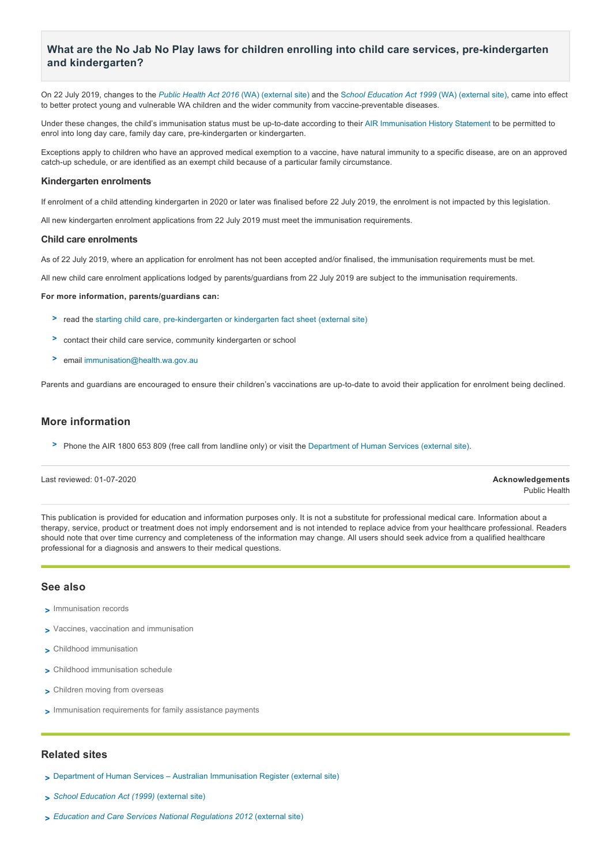# What are the No Jab No Play laws for children enrolling into child care services, pre-kindergarten **and kindergarten?**

On 22 July 2019, changes to the *[Public Health Act 2016](https://www.legislation.wa.gov.au/legislation/statutes.nsf/law_a147114.html)* (WA) (external site) and the S*[chool Education Act 1999](https://www.legislation.wa.gov.au/legislation/statutes.nsf/law_a1960.html)* (WA) (external site), came into effect to better protect young and vulnerable WA children and the wider community from vaccine-preventable diseases.

Under these changes, the child's immunisation status must be up-to-date according to their [AIR Immunisation History Statement](http://www.healthywa.wa.gov.au/Articles/A_E/Australian-Immunisation-Register) to be permitted to enrol into long day care, family day care, pre-kindergarten or kindergarten.

Exceptions apply to children who have an approved medical exemption to a vaccine, have natural immunity to a specific disease, are on an approved catch-up schedule, or are identified as an exempt child because of a particular family circumstance.

#### **Kindergarten enrolments**

If enrolment of a child attending kindergarten in 2020 or later was finalised before 22 July 2019, the enrolment is not impacted by this legislation.

All new kindergarten enrolment applications from 22 July 2019 must meet the immunisation requirements.

#### **Child care enrolments**

As of 22 July 2019, where an application for enrolment has not been accepted and/or finalised, the immunisation requirements must be met.

All new child care enrolment applications lodged by parents/guardians from 22 July 2019 are subject to the immunisation requirements.

### **For more information, parents/guardians can:**

- > read the starting child care, pre-kindergarten or kindergarten fact sheet (external site)
- contact their child care service, community kindergarten or school **>**
- email [immunisation@health.wa.gov.au](mailto:immunisation@health.wa.gov.au) **>**

Parents and guardians are encouraged to ensure their children's vaccinations are up-to-date to avoid their application for enrolment being declined.

# **More information**

Phone the AIR 1800 653 809 (free call from landline only) or visit the [Department of Human Services \(external site\).](https://www.humanservices.gov.au/individuals/services/medicare/australian-immunisation-register) **>**

### Last reviewed: 01072020 **Acknowledgements**

Public Health

This publication is provided for education and information purposes only. It is not a substitute for professional medical care. Information about a therapy, service, product or treatment does not imply endorsement and is not intended to replace advice from your healthcare professional. Readers should note that over time currency and completeness of the information may change. All users should seek advice from a qualified healthcare professional for a diagnosis and answers to their medical questions.

### **See also**

- [Immunisation records](http://www.healthywa.wa.gov.au/Articles/A_E/Australian-Immunisation-Register) **>**
- [Vaccines, vaccination and immunisation](http://www.healthywa.wa.gov.au/Articles/A_E/About-immunisation) **>**
- [Childhood immunisation](http://www.healthywa.wa.gov.au/Articles/A_E/Childhood-immunisation) **>**
- [Childhood immunisation schedule](http://www.healthywa.wa.gov.au/Articles/A_E/Childhood-immunisation-schedule) **>**
- [Children moving from overseas](http://www.healthywa.wa.gov.au/Articles/A_E/Children-moving-from-overseas) **>**
- [Immunisation requirements for family assistance payments](http://www.healthywa.wa.gov.au/Articles/N_R/No-Jab-No-Pay-changes-to-childhood-immunisation-requirements) **>**

### **Related sites**

- [Department of Human Services Australian Immunisation Register \(external site\)](https://www.humanservices.gov.au/individuals/services/medicare/australian-immunisation-register) **>**
- *[School Education Act \(1999\)](https://www.legislation.wa.gov.au/legislation/statutes.nsf/law_a1960.html)* (external site) **>**
- *[Education and Care Services National Regulations 2012](https://www.legislation.wa.gov.au/legislation/statutes.nsf/law_s44576.html)* (external site) **>**